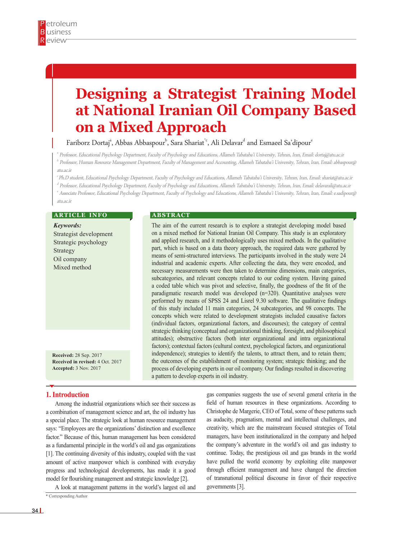# **Designing a Strategist Training Model at National Iranian Oil Company Based on a Mixed Approach**

Fariborz Dortaj<sup>a</sup>, Abbas Abbaspour $^{\flat}$ , Sara Shariat $^{\circ}$ , Ali Delavar $^d$  and Esmaeel Sa'dipour $^{\circ}$ 

a Professor, Educational Psychology Department, Faculty of Psychology and Educations, Allameh Tabataba'i University, Tehran, Iran, Email: dortaj@atu.ac.ir  $^{\rm b}$  Professor, Human Resource Management Department, Faculty of Management and Accounting, Allameh Tabataba'i University, Tehran, Iran, Email: abbaspour@ atu.ac.ir

c Ph.D student, Educational Psychology Department, Faculty of Psychology and Educations, Allameh Tabataba'i University, Tehran, Iran, Email: shariat@atu.ac.ir d Professor, Educational Psychology Department, Faculty of Psychology and Educations, Allameh Tabataba'i University, Tehran, Iran, Email: delavarali@atu.ac.ir

e Associate Professor, Educational Psychology Department, Faculty of Psychology and Educations, Allameh Tabataba'i University, Tehran, Iran, Email: e.sadipour@ atu.ac.ir

#### **ARTICLE INFO**

*Keywords:* Strategist development Strategic psychology Strategy Oil company Mixed method

**Received:** 28 Sep. 2017 **Received in revised:** 4 Oct. 2017 **Accepted:** 3 Nov. 2017

#### **1. Introduction**

Among the industrial organizations which see their success as a combination of management science and art, the oil industry has a special place. The strategic look at human resource management says: "Employees are the organizations' distinction and excellence factor." Because of this, human management has been considered as a fundamental principle in the world's oil and gas organizations [1]. The continuing diversity of this industry, coupled with the vast amount of active manpower which is combined with everyday progress and technological developments, has made it a good model for flourishing management and strategic knowledge [2].

A look at management patterns in the world's largest oil and

\* Corresponding Author

#### **A B S T R A C T**

The aim of the current research is to explore a strategist developing model based on a mixed method for National Iranian Oil Company. This study is an exploratory and applied research, and it methodologically uses mixed methods. In the qualitative part, which is based on a data theory approach, the required data were gathered by means of semi-structured interviews. The participants involved in the study were 24 industrial and academic experts. After collecting the data, they were encoded, and necessary measurements were then taken to determine dimensions, main categories, subcategories, and relevant concepts related to our coding system. Having gained a coded table which was pivot and selective, finally, the goodness of the fit of the paradigmatic research model was developed (n=320). Quantitative analyses were performed by means of SPSS 24 and Lisrel 9.30 software. The qualitative findings of this study included 11 main categories, 24 subcategories, and 98 concepts. The concepts which were related to development strategists included causative factors (individual factors, organizational factors, and discourses); the category of central strategic thinking (conceptual and organizational thinking, foresight, and philosophical attitudes); obstructive factors (both inter organizational and intra organizational factors); contextual factors (cultural context, psychological factors, and organizational independence); strategies to identify the talents, to attract them, and to retain them; the outcomes of the establishment of monitoring system; strategic thinking; and the process of developing experts in our oil company. Our findings resulted in discovering a pattern to develop experts in oil industry.

> gas companies suggests the use of several general criteria in the field of human resources in these organizations. According to Christophe de Margerie, CEO of Total, some of these patterns such as audacity, pragmatism, mental and intellectual challenges, and creativity, which are the mainstream focused strategies of Total managers, have been institutionalized in the company and helped the company's adventure in the world's oil and gas industry to continue. Today, the prestigious oil and gas brands in the world have pulled the world economy by exploiting elite manpower through efficient management and have changed the direction of transnational political discourse in favor of their respective governments [3].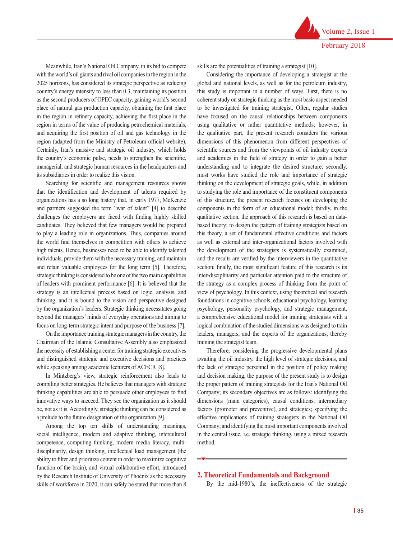Meanwhile, Iran's National Oil Company, in its bid to compete with the world's oil giants and rival oil companies in the region in the 2025 horizons, has considered its strategic perspective as reducing country's energy intensity to less than 0.3, maintaining its position as the second producers of OPEC capacity, gaining world's second place of natural gas production capacity, obtaining the first place in the region in refinery capacity, achieving the first place in the region in terms of the value of producing petrochemical materials, and acquiring the first position of oil and gas technology in the region (adapted from the Ministry of Petroleum official website). Certainly, Iran's massive and strategic oil industry, which holds the country's economic pulse, needs to strengthen the scientific, managerial, and strategic human resources in the headquarters and its subsidiaries in order to realize this vision.

Searching for scientific and management resources shows that the identification and development of talents required by organizations has a so long history that, in early 1977, McKenzie and partners suggested the term "war of talent" [4] to describe challenges the employers are faced with finding highly skilled candidates. They believed that few managers would be prepared to play a leading role in organizations. Thus, companies around the world find themselves in competition with others to achieve high talents. Hence, businesses need to be able to identify talented individuals, provide them with the necessary training, and maintain and retain valuable employees for the long term [5]. Therefore, strategic thinking is considered to be one of the two main capabilities of leaders with prominent performance [6]. It is believed that the strategy is an intellectual process based on logic, analysis, and thinking, and it is bound to the vision and perspective designed by the organization's leaders. Strategic thinking necessitates going beyond the managers' minds of everyday operations and aiming to focus on long-term strategic intent and purpose of the business [7].

On the importance training strategic managers in the country, the Chairman of the Islamic Consultative Assembly also emphasized the necessity of establishing a center for training strategic executives and distinguished strategic and executive decisions and practices while speaking among academic lecturers of ACECR [8].

In Mintzberg's view, strategic reinforcement also leads to compiling better strategies. He believes that managers with strategic thinking capabilities are able to persuade other employees to find innovative ways to succeed. They see the organization as it should be, not as it is. Accordingly, strategic thinking can be considered as a prelude to the future designation of the organization [9].

Among the top ten skills of understanding meanings, social intelligence, modern and adaptive thinking, intercultural competence, computing thinking, modern media literacy, multidisciplinarity, design thinking, intellectual load management (the ability to filter and prioritize content in order to maximize cognitive function of the brain), and virtual collaborative effort, introduced by the Research Institute of University of Phoenix as the necessary skills of workforce in 2020, it can safely be stated that more than 8

skills are the potentialities of training a strategist [10].

Considering the importance of developing a strategist at the global and national levels, as well as for the petroleum industry, this study is important in a number of ways. First, there is no coherent study on strategic thinking as the most basic aspect needed to be investigated for training strategist. Often, regular studies have focused on the causal relationships between components using qualitative or rather quantitative methods; however, in the qualitative part, the present research considers the various dimensions of this phenomenon from different perspectives of scientific sources and from the viewpoints of oil industry experts and academics in the field of strategy in order to gain a better understanding and to integrate the desired structure; secondly, most works have studied the role and importance of strategic thinking on the development of strategic goals, while, in addition to studying the role and importance of the constituent components of this structure, the present research focuses on developing the components in the form of an educational model; thirdly, in the qualitative section, the approach of this research is based on databased theory; to design the pattern of training strategists based on this theory, a set of fundamental effective conditions and factors as well as external and inter-organizational factors involved with the development of the strategists is systematically examined, and the results are verified by the interviewers in the quantitative section; finally, the most significant feature of this research is its inter-disciplinarity and particular attention paid to the structure of the strategy as a complex process of thinking from the point of view of psychology. In this context, using theoretical and research foundations in cognitive schools, educational psychology, learning psychology, personality psychology, and strategic management, a comprehensive educational model for training strategists with a logical combination of the studied dimensions was designed to train leaders, managers, and the experts of the organizations, thereby training the strategist team.

Therefore, considering the progressive developmental plans awaiting the oil industry, the high level of strategic decisions, and the lack of strategic personnel in the position of policy making and decision making, the purpose of the present study is to design the proper pattern of training strategists for the Iran's National Oil Company; its secondary objectives are as follows: identifying the dimensions (main categories), causal conditions, intermediary factors (promoter and preventive), and strategies; specifying the effective implications of training strategists in the National Oil Company; and identifying the most important components involved in the central issue, i.e. strategic thinking, using a mixed research method.

#### **2. Theoretical Fundamentals and Background**

By the mid-1980's, the ineffectiveness of the strategic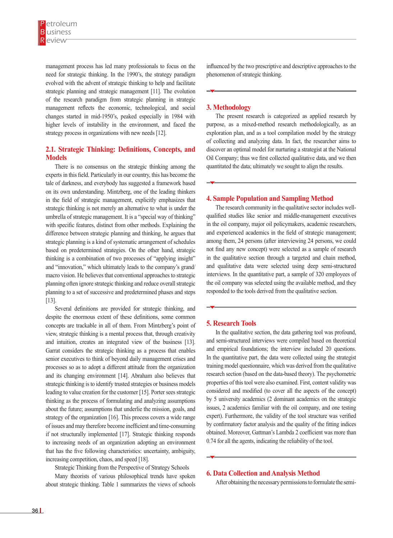management process has led many professionals to focus on the need for strategic thinking. In the 1990's, the strategy paradigm evolved with the advent of strategic thinking to help and facilitate strategic planning and strategic management [11]. The evolution of the research paradigm from strategic planning in strategic management reflects the economic, technological, and social changes started in mid-1950's, peaked especially in 1984 with higher levels of instability in the environment, and faced the strategy process in organizations with new needs [12].

# **2.1. Strategic Thinking: Definitions, Concepts, and Models**

There is no consensus on the strategic thinking among the experts in this field. Particularly in our country, this has become the tale of darkness, and everybody has suggested a framework based on its own understanding. Mintzberg, one of the leading thinkers in the field of strategic management, explicitly emphasizes that strategic thinking is not merely an alternative to what is under the umbrella of strategic management. It is a "special way of thinking" with specific features, distinct from other methods. Explaining the difference between strategic planning and thinking, he argues that strategic planning is a kind of systematic arrangement of schedules based on predetermined strategies. On the other hand, strategic thinking is a combination of two processes of "applying insight" and "innovation," which ultimately leads to the company's grand/ macro vision. He believes that conventional approaches to strategic planning often ignore strategic thinking and reduce overall strategic planning to a set of successive and predetermined phases and steps [13].

Several definitions are provided for strategic thinking, and despite the enormous extent of these definitions, some common concepts are trackable in all of them. From Mintzberg's point of view, strategic thinking is a mental process that, through creativity and intuition, creates an integrated view of the business [13]. Garrat considers the strategic thinking as a process that enables senior executives to think of beyond daily management crises and processes so as to adopt a different attitude from the organization and its changing environment [14]. Abraham also believes that strategic thinking is to identify trusted strategies or business models leading to value creation for the customer [15]. Porter sees strategic thinking as the process of formulating and analyzing assumptions about the future; assumptions that underlie the mission, goals, and strategy of the organization [16]. This process covers a wide range of issues and may therefore become inefficient and time-consuming if not structurally implemented [17]. Strategic thinking responds to increasing needs of an organization adopting an environment that has the five following characteristics: uncertainty, ambiguity, increasing competition, chaos, and speed [18].

Strategic Thinking from the Perspective of Strategy Schools

Many theorists of various philosophical trends have spoken about strategic thinking. Table 1 summarizes the views of schools

influenced by the two prescriptive and descriptive approaches to the phenomenon of strategic thinking.

## **3. Methodology**

The present research is categorized as applied research by purpose, as a mixed-method research methodologically, as an exploration plan, and as a tool compilation model by the strategy of collecting and analyzing data. In fact, the researcher aims to discover an optimal model for nurturing a strategist at the National Oil Company; thus we first collected qualitative data, and we then quantitated the data; ultimately we sought to align the results.

#### **4. Sample Population and Sampling Method**

The research community in the qualitative sector includes wellqualified studies like senior and middle-management executives in the oil company, major oil policymakers, academic researchers, and experienced academics in the field of strategic management; among them, 24 persons (after interviewing 24 persons, we could not find any new concept) were selected as a sample of research in the qualitative section through a targeted and chain method, and qualitative data were selected using deep semi-structured interviews. In the quantitative part, a sample of 320 employees of the oil company was selected using the available method, and they responded to the tools derived from the qualitative section.

#### **5. Research Tools**

In the qualitative section, the data gathering tool was profound, and semi-structured interviews were compiled based on theoretical and empirical foundations; the interview included 20 questions. In the quantitative part, the data were collected using the strategist training model questionnaire, which was derived from the qualitative research section (based on the data-based theory). The psychometric properties of this tool were also examined. First, content validity was considered and modified (to cover all the aspects of the concept) by 5 university academics (2 dominant academics on the strategic issues, 2 academics familiar with the oil company, and one testing expert). Furthermore, the validity of the tool structure was verified by confirmatory factor analysis and the quality of the fitting indices obtained. Moreover, Gattman's Lambda 2 coefficient was more than 0.74 for all the agents, indicating the reliability of the tool.

## **6. Data Collection and Analysis Method**

After obtaining the necessary permissions to formulate the semi-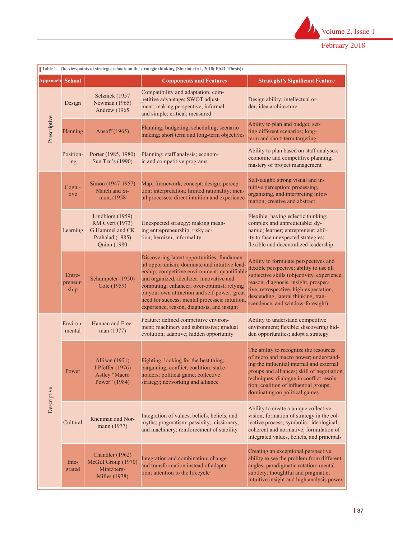

|                 | Table 1- The viewpoints of strategic schools on the strategic thinking (Shariat et al., 2018(Ph.D. Thesis)) |                                                                                                 |                                                                                                                                                                                                                                                                                                                                                                                          |                                                                                                                                                                                                                                                                                                   |  |  |  |  |  |
|-----------------|-------------------------------------------------------------------------------------------------------------|-------------------------------------------------------------------------------------------------|------------------------------------------------------------------------------------------------------------------------------------------------------------------------------------------------------------------------------------------------------------------------------------------------------------------------------------------------------------------------------------------|---------------------------------------------------------------------------------------------------------------------------------------------------------------------------------------------------------------------------------------------------------------------------------------------------|--|--|--|--|--|
| <b>Approach</b> | <b>School</b>                                                                                               |                                                                                                 | <b>Components and Features</b>                                                                                                                                                                                                                                                                                                                                                           | <b>Strategist's Significant Feature</b>                                                                                                                                                                                                                                                           |  |  |  |  |  |
| Prescriptive    | Design                                                                                                      | Selznick (1957<br>Newman (1965)<br>Andrew (1965)                                                | Compatibility and adaptation; com-<br>petitive advantage; SWOT adjust-<br>ment; making perspective; informal<br>and simple; critical; measured                                                                                                                                                                                                                                           | Design ability; intellectual or-<br>der; idea architecture                                                                                                                                                                                                                                        |  |  |  |  |  |
|                 | Planning                                                                                                    | Ansoff (1965)                                                                                   | Planning; budgeting; scheduling; scenario<br>making; short term and long-term objectives                                                                                                                                                                                                                                                                                                 | Ability to plan and budget; set-<br>ting different scenarios; long-<br>term and short-term targeting                                                                                                                                                                                              |  |  |  |  |  |
|                 | Position-<br>ing                                                                                            | Porter (1985, 1980)<br>Sun Tzu's (1990)                                                         | Planning; staff analysis; econom-<br>ic and competitive programs                                                                                                                                                                                                                                                                                                                         | Ability to plan based on staff analyses;<br>economic and competitive planning;<br>mastery of project management                                                                                                                                                                                   |  |  |  |  |  |
|                 | Cogni-<br>tive                                                                                              | Simon (1947-1957)<br>March and Si-<br>mon, (1958)                                               | Map; framework; concept; design; percep-<br>tion: interpretation; limited rationality; men-<br>tal processes: direct intuition and experience                                                                                                                                                                                                                                            | Self-taught; strong visual and in-<br>tuitive perception; processing,<br>organizing, and interpreting infor-<br>mation; creative and abstract                                                                                                                                                     |  |  |  |  |  |
|                 | Learning                                                                                                    | Lindblom (1959)<br>RM.Cyert (1973)<br>G Hammel and CK<br>Prahalad (1985)<br><b>Quinn</b> (1980) | Unexpected strategy; making mean-<br>ing entrepreneurship; risky ac-<br>tion; heroism; informality                                                                                                                                                                                                                                                                                       | Flexible; having eclectic thinking;<br>complex and unpredictable; dy-<br>namic; learner; entrepreneur; abil-<br>ity to face unexpected strategies;<br>flexible and decentralized leadership                                                                                                       |  |  |  |  |  |
|                 | Entre-<br>preneur-<br>ship                                                                                  | Schumpeter (1950)<br>Cole (1959)                                                                | Discovering latent opportunities; fundamen-<br>tal opportunism; dominate and intuitive lead-<br>ership; competitive environment; quantifiable<br>and organized; idealizer; innovative and<br>computing; enhancer; over-optimist; relying<br>on your own attraction and self-power; great<br>need for success; mental processes: intuition,<br>experience, reason, diagnosis, and insight | Ability to formulate perspectives and<br>flexible perspective; ability to use all<br>subjective skills (objectivity, experience,<br>reason, diagnosis, insight, prospec-<br>tive, retrospective, high-expectation,<br>descending, lateral thinking, tran-<br>scendence, and window-foresight)     |  |  |  |  |  |
| Descriptive     | Environ-<br>mental                                                                                          | Hannan and Free-<br>man (1977)                                                                  | Feature: defined competitive environ-<br>ment; machinery and submissive; gradual<br>evolution; adaptive; hidden opportunity                                                                                                                                                                                                                                                              | Ability to understand competitive<br>environment; flexible; discovering hid-<br>den opportunities; adopt a strategy                                                                                                                                                                               |  |  |  |  |  |
|                 | Power                                                                                                       | <b>Allison</b> (1971)<br>J Pfeffer (1976)<br>Astley "Macro<br>Power" (1984)                     | Fighting; looking for the best thing;<br>bargaining; conflict; coalition; stake-<br>holders; political game; collective<br>strategy; networking and alliance                                                                                                                                                                                                                             | The ability to recognize the resources<br>of micro and macro power; understand-<br>ing the influential internal and external<br>groups and alliances; skill of negotiation<br>techniques; dialogue in conflict resolu-<br>tion; coalition of influential groups;<br>dominating on political games |  |  |  |  |  |
|                 | Cultural                                                                                                    | Rhenman and Nor-<br>mann (1977)                                                                 | Integration of values, beliefs, beliefs, and<br>myths; pragmatism; passivity, missionary,<br>and machinery; reinforcement of stability                                                                                                                                                                                                                                                   | Ability to create a unique collective<br>vision; formation of strategy in the col-<br>lective process; symbolic; ideological;<br>coherent and normative; formulation of<br>integrated values, beliefs, and principals                                                                             |  |  |  |  |  |
|                 | Inte-<br>grated                                                                                             | Chandler (1962)<br>McGill Group (1970)<br>Mintzberg-<br><b>Milles</b> (1978)                    | Integration and combination; change<br>and transformation instead of adapta-<br>tion; attention to the lifecycle                                                                                                                                                                                                                                                                         | Creating an exceptional perspective;<br>ability to see the problem from different<br>angles; paradigmatic rotation; mental<br>subtlety; thoughtful and pragmatic;<br>intuitive insight and high analysis power                                                                                    |  |  |  |  |  |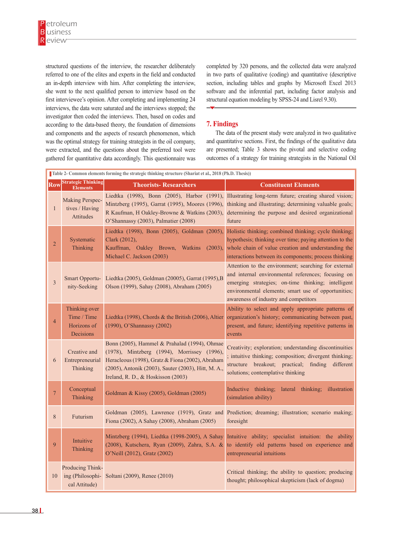structured questions of the interview, the researcher deliberately referred to one of the elites and experts in the field and conducted an in-depth interview with him. After completing the interview, she went to the next qualified person to interview based on the first interviewee's opinion. After completing and implementing 24 interviews, the data were saturated and the interviews stopped; the investigator then coded the interviews. Then, based on codes and according to the data-based theory, the foundation of dimensions and components and the aspects of research phenomenon, which was the optimal strategy for training strategists in the oil company, were extracted, and the questions about the preferred tool were gathered for quantitative data accordingly. This questionnaire was

completed by 320 persons, and the collected data were analyzed in two parts of qualitative (coding) and quantitative (descriptive section, including tables and graphs by Microsoft Excel 2013 software and the inferential part, including factor analysis and structural equation modeling by SPSS-24 and Lisrel 9.30).

# **7. Findings**

The data of the present study were analyzed in two qualitative and quantitative sections. First, the findings of the qualitative data are presented; Table 3 shows the pivotal and selective coding outcomes of a strategy for training strategists in the National Oil

|                         | Table 2- Common elements forming the strategic thinking structure (Shariat et al., 2018 (Ph.D. Thesis)) |                                                                                                                                                                                                                                              |                                                                                                                                                                                                                                                                                                                           |  |  |  |  |  |  |  |
|-------------------------|---------------------------------------------------------------------------------------------------------|----------------------------------------------------------------------------------------------------------------------------------------------------------------------------------------------------------------------------------------------|---------------------------------------------------------------------------------------------------------------------------------------------------------------------------------------------------------------------------------------------------------------------------------------------------------------------------|--|--|--|--|--|--|--|
| <b>Row</b>              | <b>Strategic Thinking</b><br><b>Elements</b>                                                            | <b>Theorists-Researchers</b>                                                                                                                                                                                                                 | <b>Constituent Elements</b>                                                                                                                                                                                                                                                                                               |  |  |  |  |  |  |  |
| $\mathbf{1}$            | Making Perspec-<br>tives / Having<br><b>Attitudes</b>                                                   | O'Shannassy (2003), Palmatier (2008)                                                                                                                                                                                                         | Liedtka (1998), Bonn (2005), Harbor (1991), Illustrating long-term future; creating shared vision;<br>Mintzberg (1995), Garrat (1995), Moores (1996), thinking and illustrating; determining valuable goals;<br>R Kaufman, H Oakley-Browne & Watkins (2003), determining the purpose and desired organizational<br>future |  |  |  |  |  |  |  |
| $\overline{2}$          | Systematic<br>Thinking                                                                                  | Liedtka (1998), Bonn (2005), Goldman (2005),<br>Clark (2012),<br>Kauffman, Oakley Brown, Watkins<br>(2003),<br>Michael C. Jackson (2003)                                                                                                     | Holistic thinking; combined thinking; cycle thinking;<br>hypothesis; thinking over time; paying attention to the<br>whole chain of value creation and understanding the<br>interactions between its components; process thinking                                                                                          |  |  |  |  |  |  |  |
| $\overline{\mathbf{3}}$ | Smart Opportu-<br>nity-Seeking                                                                          | Liedtka (2005), Goldman (20005), Garrat (1995), B<br>Olson (1999), Sahay (2008), Abraham (2005)                                                                                                                                              | Attention to the environment; searching for external<br>and internal environmental references; focusing on<br>emerging strategies; on-time thinking; intelligent<br>environmental elements; smart use of opportunities;<br>awareness of industry and competitors                                                          |  |  |  |  |  |  |  |
| $\overline{4}$          | Thinking over<br>Time / Time<br>Horizons of<br>Decisions                                                | Liedtka (1998), Chords & the British (2006), Altier<br>(1990), O'Shannassy (2002)                                                                                                                                                            | Ability to select and apply appropriate patterns of<br>organization's history; communicating between past,<br>present, and future; identifying repetitive patterns in<br>events                                                                                                                                           |  |  |  |  |  |  |  |
| 6                       | Creative and<br>Entrepreneurial<br>Thinking                                                             | Bonn (2005), Hammel & Prahalad (1994), Ohmae<br>(1978), Mintzberg (1994), Morrissey (1996),<br>Heracleous (1998), Gratz & Fiona (2002), Abraham<br>(2005), Antonik (2003), Sauter (2003), Hitt, M. A.,<br>Ireland, R. D., & Hoskisson (2003) | Creativity; exploration; understanding discontinuities<br>; intuitive thinking; composition; divergent thinking;<br>structure breakout; practical; finding<br>different<br>solutions; contemplative thinking                                                                                                              |  |  |  |  |  |  |  |
| $\overline{7}$          | Conceptual<br>Thinking                                                                                  | Goldman & Kissy (2005), Goldman (2005)                                                                                                                                                                                                       | Inductive thinking; lateral thinking; illustration<br>(simulation ability)                                                                                                                                                                                                                                                |  |  |  |  |  |  |  |
| 8                       | Futurism                                                                                                | Fiona (2002), A Sahay (2008), Abraham (2005)                                                                                                                                                                                                 | Goldman (2005), Lawrence (1919), Gratz and Prediction; dreaming; illustration; scenario making;<br>foresight                                                                                                                                                                                                              |  |  |  |  |  |  |  |
| 9                       | Intuitive<br>Thinking                                                                                   | Mintzberg (1994), Liedtka (1998-2005), A Sahay<br>(2008), Kutschera, Ryan (2009), Zahra, S.A. &<br>O'Neill (2012), Gratz (2002)                                                                                                              | Intuitive ability; specialist intuition: the ability<br>to identify old patterns based on experience and<br>entrepreneurial intuitions                                                                                                                                                                                    |  |  |  |  |  |  |  |
| 10                      | Producing Think-<br>cal Attitude)                                                                       | ing (Philosophi-Soltani (2009), Renee (2010)                                                                                                                                                                                                 | Critical thinking; the ability to question; producing<br>thought; philosophical skepticism (lack of dogma)                                                                                                                                                                                                                |  |  |  |  |  |  |  |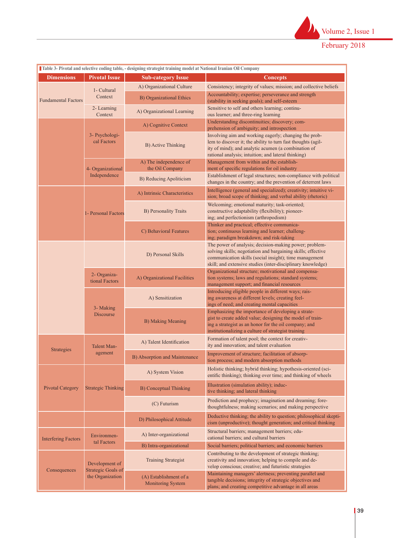

| Table 3- Pivotal and selective coding table, - designing strategist training model at National Iranian Oil Company |                                                                 |                                                    |                                                                                                                                                                                                                                                 |  |  |  |  |
|--------------------------------------------------------------------------------------------------------------------|-----------------------------------------------------------------|----------------------------------------------------|-------------------------------------------------------------------------------------------------------------------------------------------------------------------------------------------------------------------------------------------------|--|--|--|--|
| <b>Dimensions</b>                                                                                                  | <b>Pivotal Issue</b>                                            | <b>Sub-category Issue</b>                          | <b>Concepts</b>                                                                                                                                                                                                                                 |  |  |  |  |
| <b>Fundamental Factors</b>                                                                                         | 1- Cultural                                                     | A) Organizational Culture                          | Consistency; integrity of values; mission; and collective beliefs                                                                                                                                                                               |  |  |  |  |
|                                                                                                                    | Context                                                         | <b>B)</b> Organizational Ethics                    | Accountability; expertise; perseverance and strength<br>(stability in seeking goals); and self-esteem                                                                                                                                           |  |  |  |  |
|                                                                                                                    | 2- Learning<br>Context                                          | A) Organizational Learning                         | Sensitive to self and others learning; continu-<br>ous learner; and three-ring learning                                                                                                                                                         |  |  |  |  |
|                                                                                                                    |                                                                 | A) Cognitive Context                               | Understanding discontinuities; discovery; com-<br>prehension of ambiguity; and introspection                                                                                                                                                    |  |  |  |  |
|                                                                                                                    | 3- Psychologi-<br>cal Factors                                   | <b>B)</b> Active Thinking                          | Involving aim and working eagerly; changing the prob-<br>lem to discover it; the ability to turn fast thoughts (agil-<br>ity of mind); and analytic acumen (a combination of<br>rational analysis; intuition; and lateral thinking)             |  |  |  |  |
|                                                                                                                    | 4- Organizational                                               | A) The independence of<br>the Oil Company          | Management from within and the establish-<br>ment of specific regulations for oil industry                                                                                                                                                      |  |  |  |  |
|                                                                                                                    | Independence                                                    | B) Reducing Apoliticism                            | Establishment of legal structures; non-compliance with political<br>changes in the country; and the prevention of deterrent laws                                                                                                                |  |  |  |  |
|                                                                                                                    |                                                                 | A) Intrinsic Characteristics                       | Intelligence (general and specialized); creativity; intuitive vi-<br>sion; broad scope of thinking; and verbal ability (rhetoric)                                                                                                               |  |  |  |  |
|                                                                                                                    | 1- Personal Factors                                             | <b>B)</b> Personality Traits                       | Welcoming; emotional maturity; task-oriented;<br>constructive adaptability (flexibility); pioneer-<br>ing; and perfectionism (arthropodism)                                                                                                     |  |  |  |  |
|                                                                                                                    |                                                                 | C) Behavioral Features                             | Thinker and practical; effective communica-<br>tion; continuous learning and learner; challeng-<br>ing; paradigm breakdown; and risk-taking                                                                                                     |  |  |  |  |
|                                                                                                                    |                                                                 | D) Personal Skills                                 | The power of analysis; decision-making power; problem-<br>solving skills; negotiation and bargaining skills; effective<br>communication skills (social insight); time management<br>skill; and extensive studies (inter-disciplinary knowledge) |  |  |  |  |
|                                                                                                                    | 2- Organiza-<br>tional Factors                                  | A) Organizational Facilities                       | Organizational structure; motivational and compensa-<br>tion systems; laws and regulations; standard systems;<br>management support; and financial resources                                                                                    |  |  |  |  |
|                                                                                                                    | 3- Making<br>Discourse                                          | A) Sensitization                                   | Introducing eligible people in different ways; rais-<br>ing awareness at different levels; creating feel-<br>ings of need; and creating mental capacities                                                                                       |  |  |  |  |
|                                                                                                                    |                                                                 | B) Making Meaning                                  | Emphasizing the importance of developing a strate-<br>gist to create added value; designing the model of train-<br>ing a strategist as an honor for the oil company; and<br>institutionalizing a culture of strategist training                 |  |  |  |  |
| Strategies                                                                                                         | <b>Talent Man-</b>                                              | A) Talent Identification                           | Formation of talent pool; the context for creativ-<br>ity and innovation; and talent evaluation                                                                                                                                                 |  |  |  |  |
|                                                                                                                    | agement                                                         | B) Absorption and Maintenance                      | Improvement of structure; facilitation of absorp-<br>tion process; and modern absorption methods                                                                                                                                                |  |  |  |  |
|                                                                                                                    | <b>Strategic Thinking</b>                                       | A) System Vision                                   | Holistic thinking; hybrid thinking; hypothesis-oriented (sci-<br>entific thinking); thinking over time; and thinking of wheels                                                                                                                  |  |  |  |  |
| <b>Pivotal Category</b>                                                                                            |                                                                 | <b>B</b> ) Conceptual Thinking                     | Illustration (simulation ability); induc-<br>tive thinking; and lateral thinking                                                                                                                                                                |  |  |  |  |
|                                                                                                                    |                                                                 | (C) Futurism                                       | Prediction and prophecy; imagination and dreaming; fore-<br>thoughtfulness; making scenarios; and making perspective                                                                                                                            |  |  |  |  |
|                                                                                                                    |                                                                 | D) Philosophical Attitude                          | Deductive thinking; the ability to question; philosophical skepti-<br>cism (unproductive); thought generation; and critical thinking                                                                                                            |  |  |  |  |
| <b>Interfering Factors</b>                                                                                         | Environmen-                                                     | A) Inter-organizational                            | Structural barriers; management barriers; edu-<br>cational barriers; and cultural barriers                                                                                                                                                      |  |  |  |  |
|                                                                                                                    | tal Factors                                                     | B) Intra-organizational                            | Social barriers; political barriers; and economic barriers                                                                                                                                                                                      |  |  |  |  |
|                                                                                                                    | Development of<br><b>Strategic Goals of</b><br>the Organization | <b>Training Strategist</b>                         | Contributing to the development of strategic thinking;<br>creativity and innovation; helping to compile and de-<br>velop conscious; creative; and futuristic strategies                                                                         |  |  |  |  |
| Consequences                                                                                                       |                                                                 | (A) Establishment of a<br><b>Monitoring System</b> | Maintaining managers' alertness; preventing parallel and<br>tangible decisions; integrity of strategic objectives and<br>plans; and creating competitive advantage in all areas                                                                 |  |  |  |  |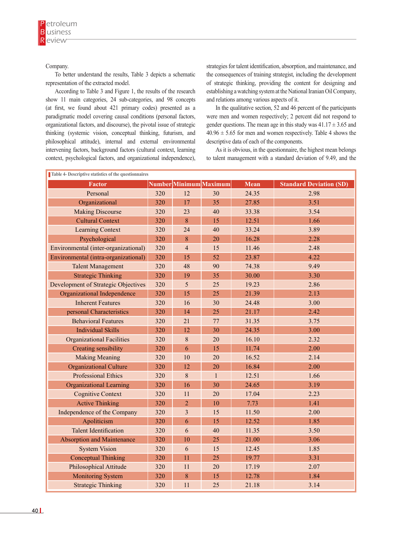#### Company.

To better understand the results, Table 3 depicts a schematic representation of the extracted model.

According to Table 3 and Figure 1, the results of the research show 11 main categories, 24 sub-categories, and 98 concepts (at first, we found about 421 primary codes) presented as a paradigmatic model covering causal conditions (personal factors, organizational factors, and discourse), the pivotal issue of strategic thinking (systemic vision, conceptual thinking, futurism, and philosophical attitude), internal and external environmental intervening factors, background factors (cultural context, learning context, psychological factors, and organizational independence), strategies for talent identification, absorption, and maintenance, and the consequences of training strategist, including the development of strategic thinking, providing the content for designing and establishing a watching system at the National Iranian Oil Company, and relations among various aspects of it.

In the qualitative section, 52 and 46 percent of the participants were men and women respectively; 2 percent did not respond to gender questions. The mean age in this study was  $41.17 \pm 3.65$  and  $40.96 \pm 5.65$  for men and women respectively. Table 4 shows the descriptive data of each of the components.

As it is obvious, in the questionnaire, the highest mean belongs to talent management with a standard deviation of 9.49, and the

| Table 4- Descriptive statistics of the questionnaires |     |                |                        |             |                                |  |  |
|-------------------------------------------------------|-----|----------------|------------------------|-------------|--------------------------------|--|--|
| <b>Factor</b>                                         |     |                | Number Minimum Maximum | <b>Mean</b> | <b>Standard Deviation (SD)</b> |  |  |
| Personal                                              | 320 | 12             | 30                     | 24.35       | 2.98                           |  |  |
| Organizational                                        | 320 | 17             | 35                     | 27.85       | 3.51                           |  |  |
| <b>Making Discourse</b>                               | 320 | 23             | 40                     | 33.38       | 3.54                           |  |  |
| <b>Cultural Context</b>                               | 320 | 8              | 15                     | 12.51       | 1.66                           |  |  |
| <b>Learning Context</b>                               | 320 | 24             | 40                     | 33.24       | 3.89                           |  |  |
| Psychological                                         | 320 | 8              | 20                     | 16.28       | 2.28                           |  |  |
| Environmental (inter-organizational)                  | 320 | $\overline{4}$ | 15                     | 11.46       | 2.48                           |  |  |
| Environmental (intra-organizational)                  | 320 | 15             | 52                     | 23.87       | 4.22                           |  |  |
| <b>Talent Management</b>                              | 320 | 48             | 90                     | 74.38       | 9.49                           |  |  |
| <b>Strategic Thinking</b>                             | 320 | 19             | 35                     | 30.00       | 3.30                           |  |  |
| <b>Development of Strategic Objectives</b>            | 320 | 5              | 25                     | 19.23       | 2.86                           |  |  |
| Organizational Independence                           | 320 | 15             | 25                     | 21.39       | 2.13                           |  |  |
| <b>Inherent Features</b>                              | 320 | 16             | 30                     | 24.48       | 3.00                           |  |  |
| personal Characteristics                              | 320 | 14             | 25                     | 21.17       | 2.42                           |  |  |
| <b>Behavioral Features</b>                            | 320 | 21             | 77                     | 31.35       | 3.75                           |  |  |
| <b>Individual Skills</b>                              | 320 | 12             | 30                     | 24.35       | 3.00                           |  |  |
| <b>Organizational Facilities</b>                      | 320 | 8              | 20                     | 16.10       | 2.32                           |  |  |
| Creating sensibility                                  | 320 | 6              | 15                     | 11.74       | 2.00                           |  |  |
| <b>Making Meaning</b>                                 | 320 | 10             | 20                     | 16.52       | 2.14                           |  |  |
| <b>Organizational Culture</b>                         | 320 | 12             | 20                     | 16.84       | 2.00                           |  |  |
| <b>Professional Ethics</b>                            | 320 | 8              | $\mathbf{1}$           | 12.51       | 1.66                           |  |  |
| <b>Organizational Learning</b>                        | 320 | 16             | 30                     | 24.65       | 3.19                           |  |  |
| <b>Cognitive Context</b>                              | 320 | 11             | 20                     | 17.04       | 2.23                           |  |  |
| <b>Active Thinking</b>                                | 320 | $\overline{2}$ | 10                     | 7.73        | 1.41                           |  |  |
| Independence of the Company                           | 320 | $\overline{3}$ | 15                     | 11.50       | 2.00                           |  |  |
| Apoliticism                                           | 320 | 6              | 15                     | 12.52       | 1.85                           |  |  |
| <b>Talent Identification</b>                          | 320 | 6              | 40                     | 11.35       | 3.50                           |  |  |
| <b>Absorption and Maintenance</b>                     | 320 | 10             | 25                     | 21.00       | 3.06                           |  |  |
| <b>System Vision</b>                                  | 320 | 6              | 15                     | 12.45       | 1.85                           |  |  |
| <b>Conceptual Thinking</b>                            | 320 | 11             | 25                     | 19.77       | 3.31                           |  |  |
| <b>Philosophical Attitude</b>                         | 320 | 11             | 20                     | 17.19       | 2.07                           |  |  |
| <b>Monitoring System</b>                              | 320 | 8              | 15                     | 12.78       | 1.84                           |  |  |
| <b>Strategic Thinking</b>                             | 320 | 11             | 25                     | 21.18       | 3.14                           |  |  |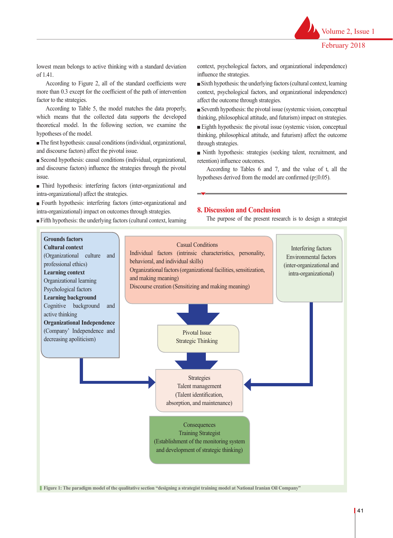Volume 2, Issue 1

lowest mean belongs to active thinking with a standard deviation of 1.41.

According to Figure 2, all of the standard coefficients were more than 0.3 except for the coefficient of the path of intervention factor to the strategies.

According to Table 5, the model matches the data properly, which means that the collected data supports the developed theoretical model. In the following section, we examine the hypotheses of the model.

The first hypothesis: causal conditions (individual, organizational, and discourse factors) affect the pivotal issue.

Second hypothesis: causal conditions (individual, organizational, and discourse factors) influence the strategies through the pivotal issue.

Third hypothesis: interfering factors (inter-organizational and intra-organizational) affect the strategies.

Fourth hypothesis: interfering factors (inter-organizational and intra-organizational) impact on outcomes through strategies.

Fifth hypothesis: the underlying factors (cultural context, learning

context, psychological factors, and organizational independence) influence the strategies.

Sixth hypothesis: the underlying factors (cultural context, learning context, psychological factors, and organizational independence) affect the outcome through strategies.

Seventh hypothesis: the pivotal issue (systemic vision, conceptual thinking, philosophical attitude, and futurism) impact on strategies.

Eighth hypothesis: the pivotal issue (systemic vision, conceptual thinking, philosophical attitude, and futurism) affect the outcome through strategies.

Ninth hypothesis: strategies (seeking talent, recruitment, and retention) influence outcomes.

According to Tables 6 and 7, and the value of t, all the hypotheses derived from the model are confirmed (p≤0.05).

#### **8. Discussion and Conclusion**

The purpose of the present research is to design a strategist



41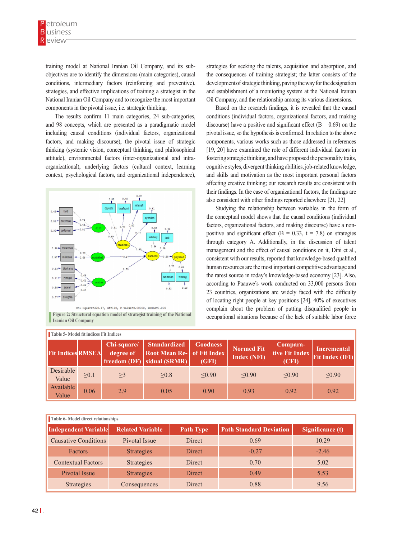training model at National Iranian Oil Company, and its subobjectives are to identify the dimensions (main categories), causal conditions, intermediary factors (reinforcing and preventive), strategies, and effective implications of training a strategist in the National Iranian Oil Company and to recognize the most important components in the pivotal issue, i.e. strategic thinking.

The results confirm 11 main categories, 24 sub-categories, and 98 concepts, which are presented as a paradigmatic model including causal conditions (individual factors, organizational factors, and making discourse), the pivotal issue of strategic thinking (systemic vision, conceptual thinking, and philosophical attitude), environmental factors (inter-organizational and intraorganizational), underlying factors (cultural context, learning context, psychological factors, and organizational independence),



**Figure 2: Structural equation model of structural equation model of strategist training of the National Iranian Oil Company**  $\blacksquare$  **3: Structural in the National Iranian of the National Iranian of the National Iranian of t** 

strategies for seeking the talents, acquisition and absorption, and the consequences of training strategist; the latter consists of the development of strategic thinking, paving the way for the designation and establishment of a monitoring system at the National Iranian Oil Company, and the relationship among its various dimensions.

Based on the research findings, it is revealed that the causal conditions (individual factors, organizational factors, and making discourse) have a positive and significant effect ( $B = 0.69$ ) on the pivotal issue, so the hypothesis is confirmed. In relation to the above components, various works such as those addressed in references [19, 20] have examined the role of different individual factors in fostering strategic thinking, and have proposed the personality traits, cognitive styles, divergent thinking abilities, job-related knowledge, and skills and motivation as the most important personal factors affecting creative thinking; our research results are consistent with their findings. In the case of organizational factors, the findings are also consistent with other findings reported elsewhere [21, 22]

Studying the relationship between variables in the form of the conceptual model shows that the causal conditions (individual factors, organizational factors, and making discourse) have a nonpositive and significant effect ( $B = 0.33$ ,  $t = 7.8$ ) on strategies through category A. Additionally, in the discussion of talent management and the effect of causal conditions on it, Dini et al., consistent with our results, reported that knowledge-based qualified human resources are the most important competitive advantage and the rarest source in today's knowledge-based economy [23]. Also, according to Paauwe's work conducted on 33,000 persons from 23 countries, organizations are widely faced with the difficulty of locating right people at key positions [24]. 40% of executives complain about the problem of putting disqualified people in occupational situations because of the lack of suitable labor force

| <b>Table 5- Model fit indices Fit Indices</b> |      |                          |                                                                                          |                          |                                         |                                     |                                              |  |
|-----------------------------------------------|------|--------------------------|------------------------------------------------------------------------------------------|--------------------------|-----------------------------------------|-------------------------------------|----------------------------------------------|--|
| <b>Fit Indices RMSEA</b>                      |      | Chi-square/<br>degree of | <b>Standardized</b><br><b>Root Mean Re- of Fit Index</b><br>freedom $(DF)$ sidual (SRMR) | <b>Goodness</b><br>(GFI) | <b>Normed Fit</b><br><b>Index (NFI)</b> | Compara-<br>tive Fit Index<br>(CFI) | <b>Incremental</b><br><b>Fit Index (IFI)</b> |  |
| Desirable<br>Value                            | >0.1 | >3                       | >0.8                                                                                     | < 0.90                   | < 0.90                                  | < 0.90                              | < 0.90                                       |  |
| Available<br>Value                            | 0.06 | 2.9                      | 0.05                                                                                     | 0.90                     | 0.93                                    | 0.92                                | 0.92                                         |  |

| Table 6- Model direct relationships |                         |                  |                                |                  |  |  |  |  |
|-------------------------------------|-------------------------|------------------|--------------------------------|------------------|--|--|--|--|
| Independent Variable                | <b>Related Variable</b> | <b>Path Type</b> | <b>Path Standard Deviation</b> | Significance (t) |  |  |  |  |
| <b>Causative Conditions</b>         | Pivotal Issue           | <b>Direct</b>    | 0.69                           | 10.29            |  |  |  |  |
| <b>Factors</b>                      | <b>Strategies</b>       | <b>Direct</b>    | $-0.27$                        | $-2.46$          |  |  |  |  |
| <b>Contextual Factors</b>           | <b>Strategies</b>       | Direct           | 0.70                           | 5.02             |  |  |  |  |
| Pivotal Issue                       | <b>Strategies</b>       | <b>Direct</b>    | 0.49                           | 5.53             |  |  |  |  |
| Strategies                          | Consequences            | <b>Direct</b>    | 0.88                           | 9.56             |  |  |  |  |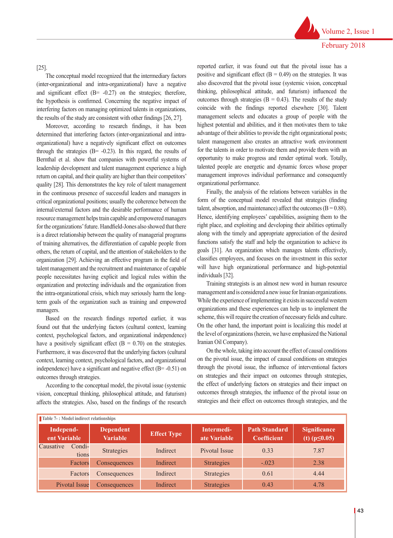## [25].

The conceptual model recognized that the intermediary factors (inter-organizational and intra-organizational) have a negative and significant effect (B= -0.27) on the strategies; therefore, the hypothesis is confirmed. Concerning the negative impact of interfering factors on managing optimized talents in organizations, the results of the study are consistent with other findings [26, 27].

Moreover, according to research findings, it has been determined that interfering factors (inter-organizational and intraorganizational) have a negatively significant effect on outcomes through the strategies  $(B = -0.23)$ . In this regard, the results of Bernthal et al. show that companies with powerful systems of leadership development and talent management experience a high return on capital, and their quality are higher than their competitors' quality [28]. This demonstrates the key role of talent management in the continuous presence of successful leaders and managers in critical organizational positions; usually the coherence between the internal/external factors and the desirable performance of human resource management helps train capable and empowered managers for the organizations' future. Handfield-Jones also showed that there is a direct relationship between the quality of managerial programs of training alternatives, the differentiation of capable people from others, the return of capital, and the attention of stakeholders to the organization [29]. Achieving an effective program in the field of talent management and the recruitment and maintenance of capable people necessitates having explicit and logical rules within the organization and protecting individuals and the organization from the intra-organizational crisis, which may seriously harm the longterm goals of the organization such as training and empowered managers.

Based on the research findings reported earlier, it was found out that the underlying factors (cultural context, learning context, psychological factors, and organizational independence) have a positively significant effect  $(B = 0.70)$  on the strategies. Furthermore, it was discovered that the underlying factors (cultural context, learning context, psychological factors, and organizational independence) have a significant and negative effect (B= -0.51) on outcomes through strategies.

According to the conceptual model, the pivotal issue (systemic vision, conceptual thinking, philosophical attitude, and futurism) affects the strategies. Also, based on the findings of the research reported earlier, it was found out that the pivotal issue has a positive and significant effect  $(B = 0.49)$  on the strategies. It was also discovered that the pivotal issue (systemic vision, conceptual thinking, philosophical attitude, and futurism) influenced the outcomes through strategies ( $B = 0.43$ ). The results of the study coincide with the findings reported elsewhere [30]. Talent management selects and educates a group of people with the highest potential and abilities, and it then motivates them to take advantage of their abilities to provide the right organizational posts; talent management also creates an attractive work environment for the talents in order to motivate them and provide them with an opportunity to make progress and render optimal work. Totally, talented people are energetic and dynamic forces whose proper management improves individual performance and consequently organizational performance.

Finally, the analysis of the relations between variables in the form of the conceptual model revealed that strategies (finding talent, absorption, and maintenance) affect the outcomes  $(B = 0.88)$ . Hence, identifying employees' capabilities, assigning them to the right place, and exploiting and developing their abilities optimally along with the timely and appropriate appreciation of the desired functions satisfy the staff and help the organization to achieve its goals [31]. An organization which manages talents effectively, classifies employees, and focuses on the investment in this sector will have high organizational performance and high-potential individuals [32].

Training strategists is an almost new word in human resource management and is considered a new issue for Iranian organizations. While the experience of implementing it exists in successful western organizations and these experiences can help us to implement the scheme, this will require the creation of necessary fields and culture. On the other hand, the important point is localizing this model at the level of organizations (herein, we have emphasized the National Iranian Oil Company).

On the whole, taking into account the effect of causal conditions on the pivotal issue, the impact of causal conditions on strategies through the pivotal issue, the influence of interventional factors on strategies and their impact on outcomes through strategies, the effect of underlying factors on strategies and their impact on outcomes through strategies, the influence of the pivotal issue on strategies and their effect on outcomes through strategies, and the

| Table 7-: Model indirect relationships |                                     |                    |                            |                                            |                                           |  |  |  |
|----------------------------------------|-------------------------------------|--------------------|----------------------------|--------------------------------------------|-------------------------------------------|--|--|--|
| Independ-<br>ent Variable              | <b>Dependent</b><br><b>Variable</b> | <b>Effect Type</b> | Intermedi-<br>ate Variable | <b>Path Standard</b><br><b>Coefficient</b> | <b>Significance</b><br>(t) $(p \le 0.05)$ |  |  |  |
| Causative<br>Condi-<br>tions           | <b>Strategies</b>                   | Indirect           | Pivotal Issue              | 0.33                                       | 7.87                                      |  |  |  |
| Factors                                | Consequences                        | Indirect           | <b>Strategies</b>          | $-.023$                                    | 2.38                                      |  |  |  |
| Factors                                | Consequences                        | Indirect           | <b>Strategies</b>          | 0.61                                       | 4.44                                      |  |  |  |
| <b>Pivotal Issue</b>                   | Consequences                        | Indirect           | <b>Strategies</b>          | 0.43                                       | 4.78                                      |  |  |  |